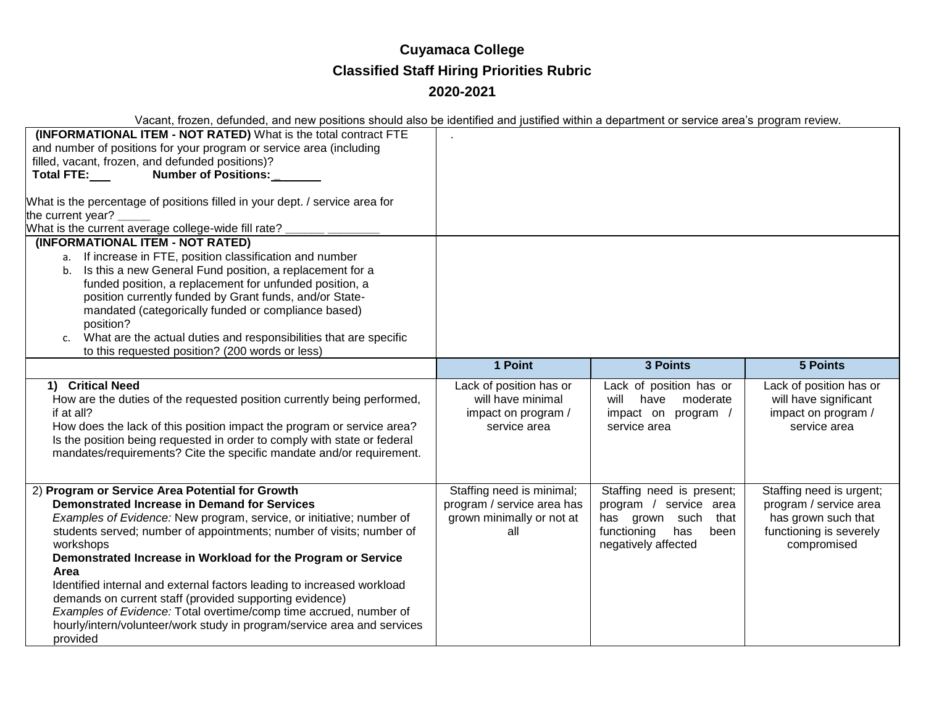## **Cuyamaca College Classified Staff Hiring Priorities Rubric 2020-2021**

Vacant, frozen, defunded, and new positions should also be identified and justified within a department or service area's program review.

| vacant, incredit, actualace, and now pocktone choald also be facilitied and facilitied multiple acpartment of corrico area o program fortion.<br>(INFORMATIONAL ITEM - NOT RATED) What is the total contract FTE<br>and number of positions for your program or service area (including<br>filled, vacant, frozen, and defunded positions)?<br><b>Number of Positions:</b><br>Total FTE:<br>What is the percentage of positions filled in your dept. / service area for<br>the current year?<br>What is the current average college-wide fill rate?                                                                                          |                                                                                             |                                                                                                                                    |                                                                                                                     |
|----------------------------------------------------------------------------------------------------------------------------------------------------------------------------------------------------------------------------------------------------------------------------------------------------------------------------------------------------------------------------------------------------------------------------------------------------------------------------------------------------------------------------------------------------------------------------------------------------------------------------------------------|---------------------------------------------------------------------------------------------|------------------------------------------------------------------------------------------------------------------------------------|---------------------------------------------------------------------------------------------------------------------|
| (INFORMATIONAL ITEM - NOT RATED)<br>a. If increase in FTE, position classification and number<br>Is this a new General Fund position, a replacement for a<br>b.<br>funded position, a replacement for unfunded position, a<br>position currently funded by Grant funds, and/or State-<br>mandated (categorically funded or compliance based)<br>position?<br>What are the actual duties and responsibilities that are specific<br>$\mathsf{C}$ .<br>to this requested position? (200 words or less)                                                                                                                                          |                                                                                             |                                                                                                                                    |                                                                                                                     |
|                                                                                                                                                                                                                                                                                                                                                                                                                                                                                                                                                                                                                                              | 1 Point                                                                                     | <b>3 Points</b>                                                                                                                    | <b>5 Points</b>                                                                                                     |
| 1) Critical Need<br>How are the duties of the requested position currently being performed,<br>if at all?<br>How does the lack of this position impact the program or service area?<br>Is the position being requested in order to comply with state or federal<br>mandates/requirements? Cite the specific mandate and/or requirement.                                                                                                                                                                                                                                                                                                      | Lack of position has or<br>will have minimal<br>impact on program /<br>service area         | Lack of position has or<br>will<br>have<br>moderate<br>impact on program /<br>service area                                         | Lack of position has or<br>will have significant<br>impact on program /<br>service area                             |
| 2) Program or Service Area Potential for Growth<br><b>Demonstrated Increase in Demand for Services</b><br>Examples of Evidence: New program, service, or initiative; number of<br>students served; number of appointments; number of visits; number of<br>workshops<br>Demonstrated Increase in Workload for the Program or Service<br>Area<br>Identified internal and external factors leading to increased workload<br>demands on current staff (provided supporting evidence)<br>Examples of Evidence: Total overtime/comp time accrued, number of<br>hourly/intern/volunteer/work study in program/service area and services<br>provided | Staffing need is minimal;<br>program / service area has<br>grown minimally or not at<br>all | Staffing need is present;<br>program / service area<br>has grown such<br>that<br>functioning<br>has<br>been<br>negatively affected | Staffing need is urgent;<br>program / service area<br>has grown such that<br>functioning is severely<br>compromised |